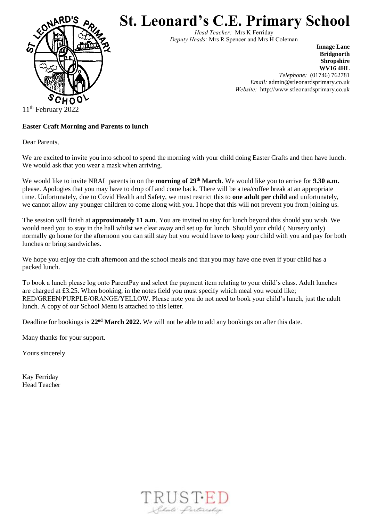

**St. Leonard's C.E. Primary School**

*Head Teacher:* Mrs K Ferriday *Deputy Heads:* Mrs R Spencer and Mrs H Coleman

> **Innage Lane Bridgnorth Shropshire WV16 4HL** *Telephone:* (01746) 762781 *Email:* admin@stleonardsprimary.co.uk *Website:* http://www.stleonardsprimary.co.uk

11<sup>th</sup> February 2022

## **Easter Craft Morning and Parents to lunch**

Dear Parents,

We are excited to invite you into school to spend the morning with your child doing Easter Crafts and then have lunch. We would ask that you wear a mask when arriving.

We would like to invite NRAL parents in on the **morning of 29th March**. We would like you to arrive for **9.30 a.m.** please. Apologies that you may have to drop off and come back. There will be a tea/coffee break at an appropriate time. Unfortunately, due to Covid Health and Safety, we must restrict this to **one adult per child** and unfortunately, we cannot allow any younger children to come along with you. I hope that this will not prevent you from joining us.

The session will finish at **approximately 11 a.m**. You are invited to stay for lunch beyond this should you wish. We would need you to stay in the hall whilst we clear away and set up for lunch. Should your child ( Nursery only) normally go home for the afternoon you can still stay but you would have to keep your child with you and pay for both lunches or bring sandwiches.

We hope you enjoy the craft afternoon and the school meals and that you may have one even if your child has a packed lunch.

To book a lunch please log onto ParentPay and select the payment item relating to your child's class. Adult lunches are charged at  $\text{\pounds}3.25$ . When booking, in the notes field you must specify which meal you would like; RED/GREEN/PURPLE/ORANGE/YELLOW. Please note you do not need to book your child's lunch, just the adult lunch. A copy of our School Menu is attached to this letter.

Deadline for bookings is **22nd March 2022.** We will not be able to add any bookings on after this date.

Many thanks for your support.

Yours sincerely

Kay Ferriday Head Teacher